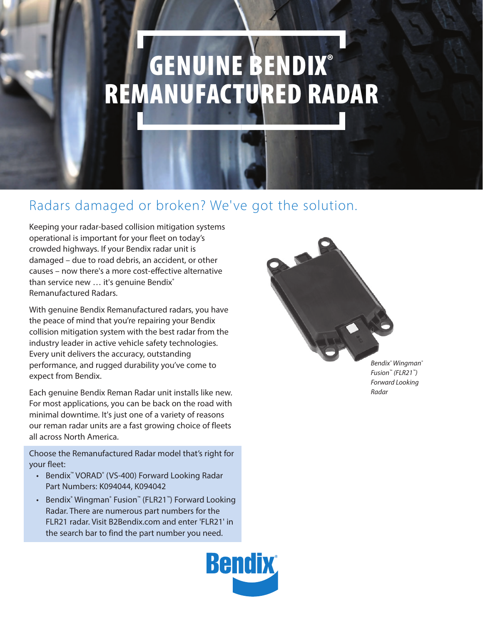# **GENUINE BENDIX®** REMANUFACTURED RADAR

# Radars damaged or broken? We've got the solution.

Keeping your radar-based collision mitigation systems operational is important for your fleet on today's crowded highways. If your Bendix radar unit is damaged – due to road debris, an accident, or other causes – now there's a more cost-effective alternative than service new ... it's genuine Bendix® Remanufactured Radars.

With genuine Bendix Remanufactured radars, you have the peace of mind that you're repairing your Bendix collision mitigation system with the best radar from the industry leader in active vehicle safety technologies. Every unit delivers the accuracy, outstanding performance, and rugged durability you've come to expect from Bendix.

Each genuine Bendix Reman Radar unit installs like new. For most applications, you can be back on the road with minimal downtime. It's just one of a variety of reasons our reman radar units are a fast growing choice of fleets all across North America.

Choose the Remanufactured Radar model that's right for your fleet:

- Bendix<sup>™</sup> VORAD<sup>®</sup> (VS-400) Forward Looking Radar Part Numbers: K094044, K094042
- Bendix® Wingman® Fusion™ (FLR21™) Forward Looking Radar. There are numerous part numbers for the FLR21 radar. Visit B2Bendix.com and enter 'FLR21' in the search bar to find the part number you need.



*Bendix® Wingman® Fusion™ (FLR21™) Forward Looking Radar*